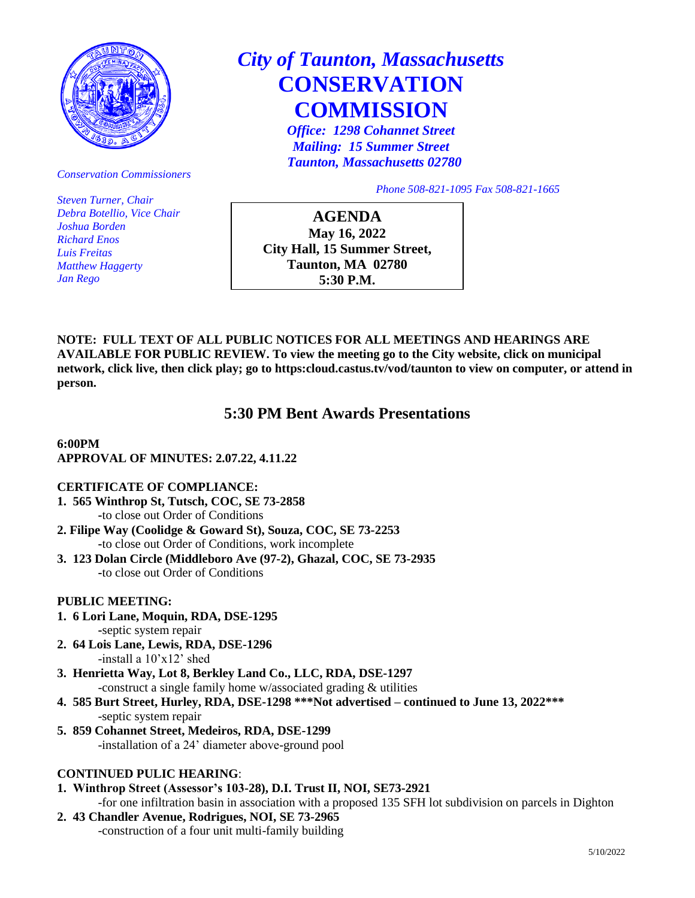

*Conservation Commissioners*

*Steven Turner, Chair Debra Botellio, Vice Chair Joshua Borden Richard Enos Luis Freitas Matthew Haggerty Jan Rego*

# *City of Taunton, Massachusetts*  **CONSERVATION COMMISSION**

*Office: 1298 Cohannet Street Mailing: 15 Summer Street Taunton, Massachusetts 02780*

*Phone 508-821-1095 Fax 508-821-1665*

**AGENDA May 16, 2022 City Hall, 15 Summer Street, Taunton, MA 02780 5:30 P.M.**

**NOTE: FULL TEXT OF ALL PUBLIC NOTICES FOR ALL MEETINGS AND HEARINGS ARE AVAILABLE FOR PUBLIC REVIEW. To view the meeting go to the City website, click on municipal network, click live, then click play; go to https:cloud.castus.tv/vod/taunton to view on computer, or attend in person.**

# **5:30 PM Bent Awards Presentations**

#### **6:00PM APPROVAL OF MINUTES: 2.07.22, 4.11.22**

# **CERTIFICATE OF COMPLIANCE:**

**1. 565 Winthrop St, Tutsch, COC, SE 73-2858**

**-**to close out Order of Conditions

- **2. Filipe Way (Coolidge & Goward St), Souza, COC, SE 73-2253 -**to close out Order of Conditions, work incomplete
- **3. 123 Dolan Circle (Middleboro Ave (97-2), Ghazal, COC, SE 73-2935 -**to close out Order of Conditions

# **PUBLIC MEETING:**

- **1. 6 Lori Lane, Moquin, RDA, DSE-1295 -**septic system repair
- **2. 64 Lois Lane, Lewis, RDA, DSE-1296** -install a 10'x12' shed
- **3. Henrietta Way, Lot 8, Berkley Land Co., LLC, RDA, DSE-1297** -construct a single family home w/associated grading & utilities
- **4. 585 Burt Street, Hurley, RDA, DSE-1298 \*\*\*Not advertised – continued to June 13, 2022\*\*\*** -septic system repair
- **5. 859 Cohannet Street, Medeiros, RDA, DSE-1299** -installation of a 24' diameter above-ground pool

# **CONTINUED PULIC HEARING**:

- **1. Winthrop Street (Assessor's 103-28), D.I. Trust II, NOI, SE73-2921**
- -for one infiltration basin in association with a proposed 135 SFH lot subdivision on parcels in Dighton
- **2. 43 Chandler Avenue, Rodrigues, NOI, SE 73-2965** -construction of a four unit multi-family building